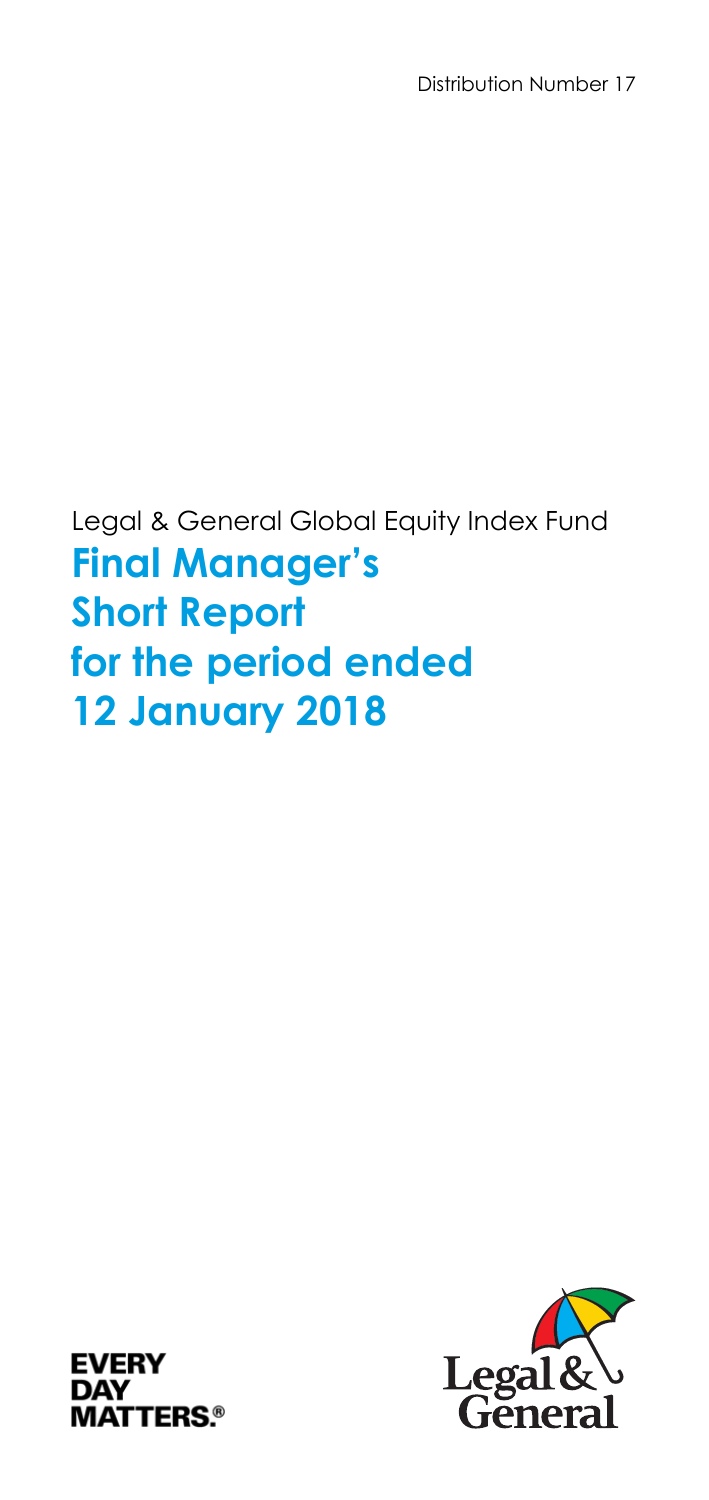Distribution Number 17

Legal & General Global Equity Index Fund **Final Manager's Short Report for the period ended 12 January 2018** 



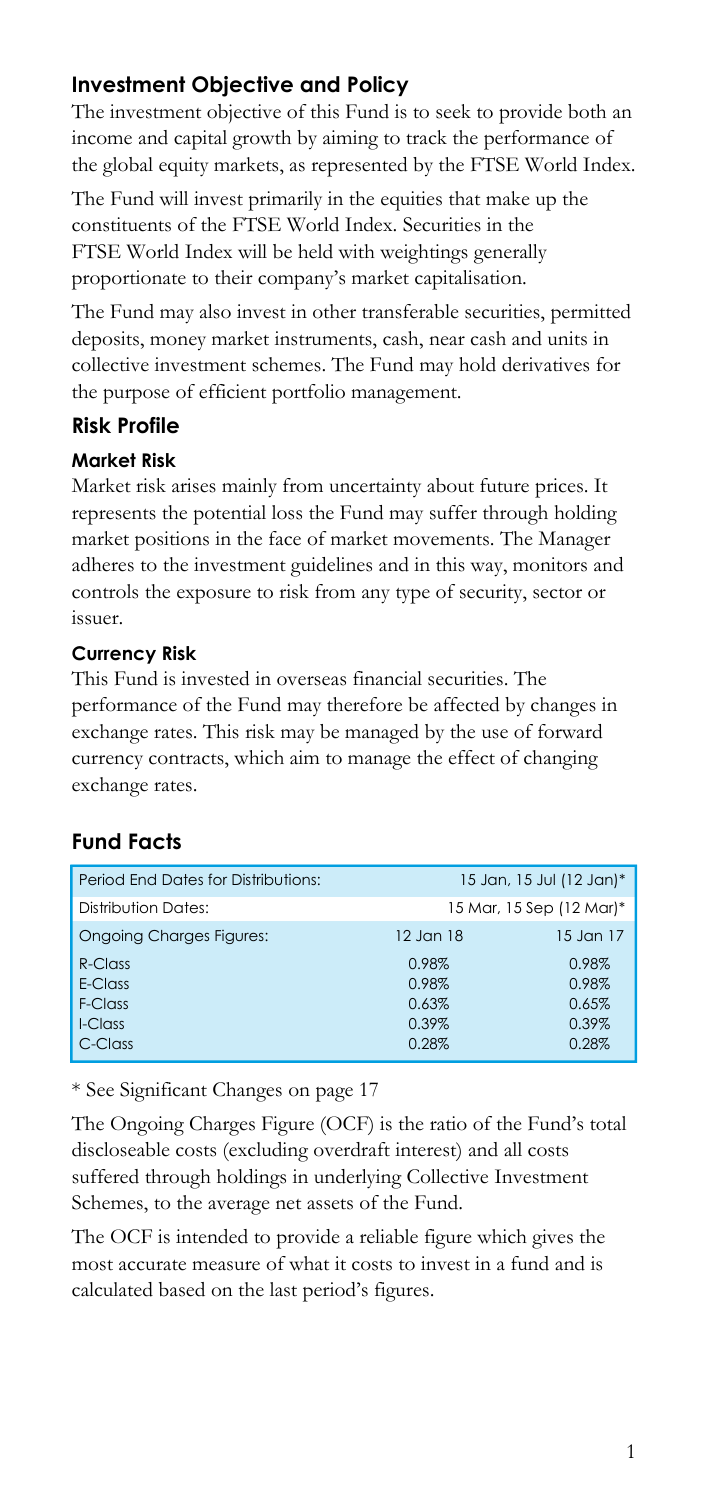# **Investment Objective and Policy**

The investment objective of this Fund is to seek to provide both an income and capital growth by aiming to track the performance of the global equity markets, as represented by the FTSE World Index.

The Fund will invest primarily in the equities that make up the constituents of the FTSE World Index. Securities in the FTSE World Index will be held with weightings generally proportionate to their company's market capitalisation.

The Fund may also invest in other transferable securities, permitted deposits, money market instruments, cash, near cash and units in collective investment schemes. The Fund may hold derivatives for the purpose of efficient portfolio management.

### **Risk Profile**

#### **Market Risk**

Market risk arises mainly from uncertainty about future prices. It represents the potential loss the Fund may suffer through holding market positions in the face of market movements. The Manager adheres to the investment guidelines and in this way, monitors and controls the exposure to risk from any type of security, sector or issuer.

#### **Currency Risk**

This Fund is invested in overseas financial securities. The performance of the Fund may therefore be affected by changes in exchange rates. This risk may be managed by the use of forward currency contracts, which aim to manage the effect of changing exchange rates.

# **Fund Facts**

| Period End Dates for Distributions: |           | 15 Jan, 15 Jul (12 Jan)* |
|-------------------------------------|-----------|--------------------------|
| Distribution Dates:                 |           | 15 Mar, 15 Sep (12 Mar)* |
| <b>Ongoing Charges Figures:</b>     | 12 Jan 18 | $15$ Jan $17$            |
| $R$ -Class                          | 0.98%     | 0.98%                    |
| F-Class                             | 0.98%     | 0.98%                    |
| F-Class                             | 0.63%     | 0.65%                    |
| I-Class                             | 0.39%     | 0.39%                    |
| C-Class                             | 0.28%     | 0.28%                    |

\* See Significant Changes on page 17

The Ongoing Charges Figure (OCF) is the ratio of the Fund's total discloseable costs (excluding overdraft interest) and all costs suffered through holdings in underlying Collective Investment Schemes, to the average net assets of the Fund.

The OCF is intended to provide a reliable figure which gives the most accurate measure of what it costs to invest in a fund and is calculated based on the last period's figures.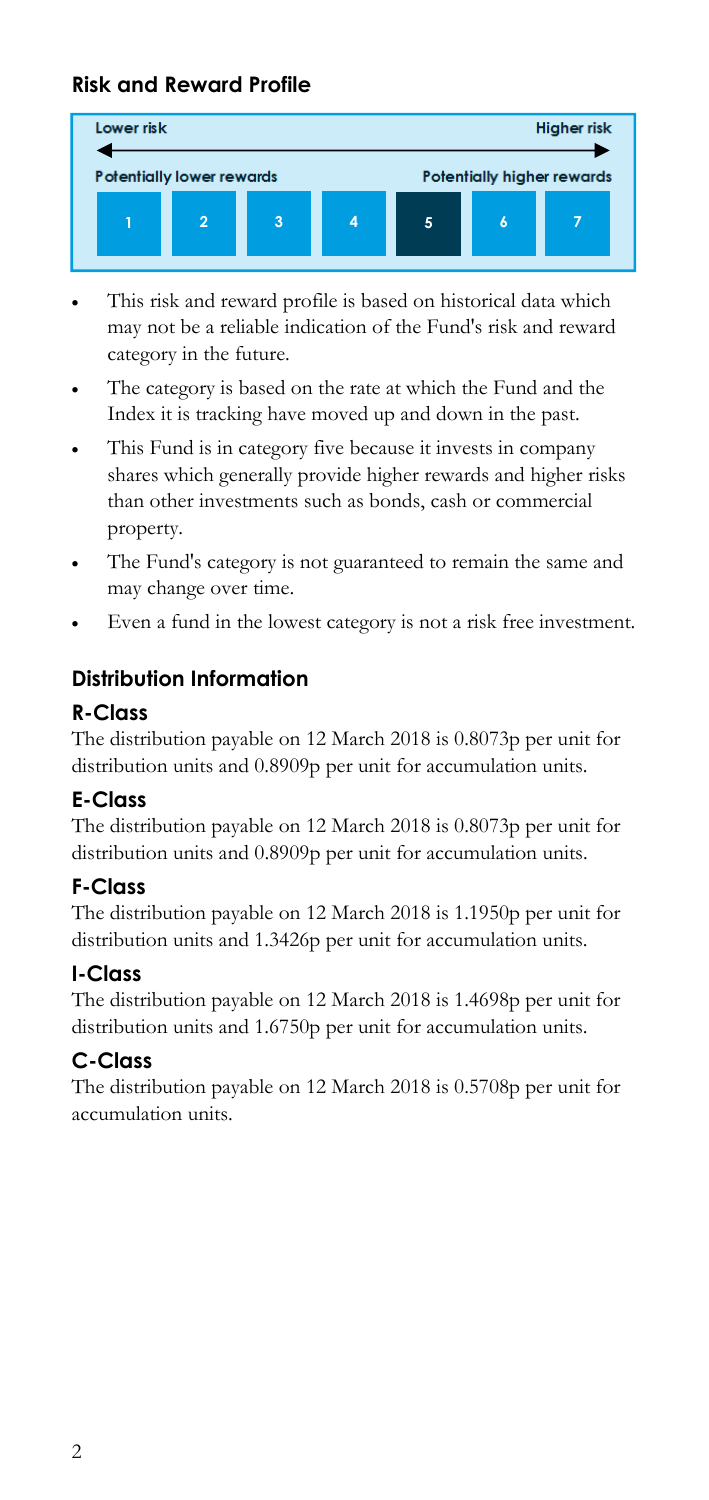# **Risk and Reward Profile**



- This risk and reward profile is based on historical data which may not be a reliable indication of the Fund's risk and reward category in the future.
- The category is based on the rate at which the Fund and the Index it is tracking have moved up and down in the past.
- This Fund is in category five because it invests in company shares which generally provide higher rewards and higher risks than other investments such as bonds, cash or commercial property.
- The Fund's category is not guaranteed to remain the same and may change over time.
- Even a fund in the lowest category is not a risk free investment.

# **Distribution Information**

### **R-Class**

The distribution payable on 12 March 2018 is 0.8073p per unit for distribution units and 0.8909p per unit for accumulation units.

# **E-Class**

The distribution payable on 12 March 2018 is 0.8073p per unit for distribution units and 0.8909p per unit for accumulation units.

# **F-Class**

The distribution payable on 12 March 2018 is 1.1950p per unit for distribution units and 1.3426p per unit for accumulation units.

#### **I-Class**

The distribution payable on 12 March 2018 is 1.4698p per unit for distribution units and 1.6750p per unit for accumulation units.

# **C-Class**

The distribution payable on 12 March 2018 is 0.5708p per unit for accumulation units.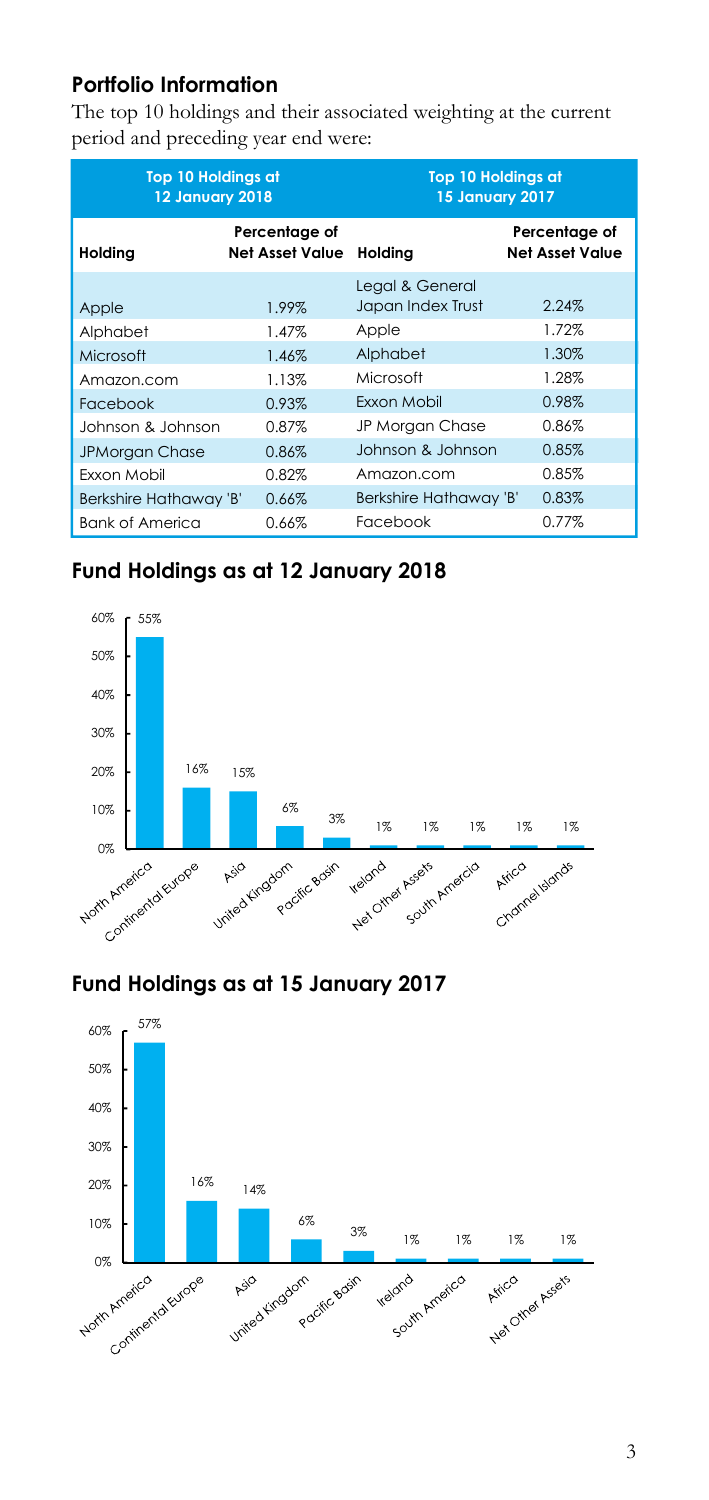# **Portfolio Information**

The top 10 holdings and their associated weighting at the current period and preceding year end were:

|                        | <b>Top 10 Holdings at</b><br><b>12 January 2018</b> |                        | <b>Top 10 Holdings at</b><br><b>15 January 2017</b> |
|------------------------|-----------------------------------------------------|------------------------|-----------------------------------------------------|
| Holding                | Percentage of<br><b>Net Asset Value</b>             | Holding                | Percentage of<br><b>Net Asset Value</b>             |
|                        |                                                     | Legal & General        |                                                     |
| Apple                  | 1.99%                                               | Japan Index Trust      | 2.24%                                               |
| Alphabet               | 1.47%                                               | Apple                  | 1.72%                                               |
| Microsoft              | 1.46%                                               | Alphabet               | 1.30%                                               |
| Amazon.com             | 1.13%                                               | Microsoft              | 1.28%                                               |
| Facebook               | 0.93%                                               | Exxon Mobil            | 0.98%                                               |
| Johnson & Johnson      | 0.87%                                               | JP Morgan Chase        | 0.86%                                               |
| <b>JPMorgan Chase</b>  | 0.86%                                               | Johnson & Johnson      | 0.85%                                               |
| Exxon Mobil            | 0.82%                                               | Amazon.com             | 0.85%                                               |
| Berkshire Hathaway 'B' | 0.66%                                               | Berkshire Hathaway 'B' | 0.83%                                               |
| <b>Bank of America</b> | 0.66%                                               | Facebook               | 0.77%                                               |

# **Fund Holdings as at 12 January 2018**



# **Fund Holdings as at 15 January 2017**

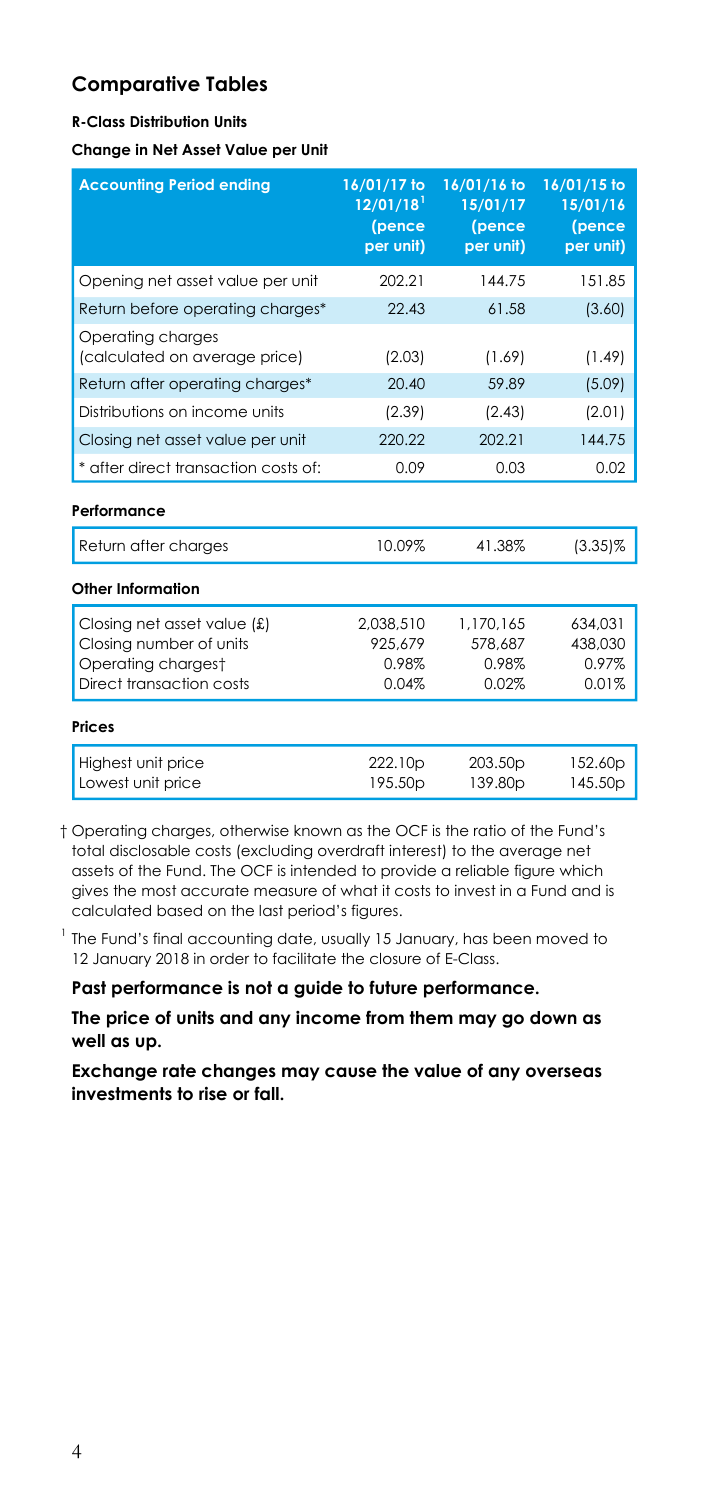#### **R-Class Distribution Units**

**Change in Net Asset Value per Unit** 

| <b>Accounting Period ending</b>                                                                          | 16/01/17 to<br>$12/01/18$ <sup>1</sup><br>(pence<br>per unit) | 16/01/16 to<br>15/01/17<br>(pence<br>per unit) | 16/01/15 to<br>15/01/16<br>(pence<br>per unit) |
|----------------------------------------------------------------------------------------------------------|---------------------------------------------------------------|------------------------------------------------|------------------------------------------------|
| Opening net asset value per unit                                                                         | 202.21                                                        | 144.75                                         | 151.85                                         |
| Return before operating charges*                                                                         | 22.43                                                         | 61.58                                          | (3.60)                                         |
| Operating charges<br>(calculated on average price)                                                       | (2.03)                                                        | (1.69)                                         | (1.49)                                         |
| Return after operating charges*                                                                          | 20.40                                                         | 59.89                                          | (5.09)                                         |
| Distributions on income units                                                                            | (2.39)                                                        | (2.43)                                         | (2.01)                                         |
| Closing net asset value per unit                                                                         | 220.22                                                        | 202.21                                         | 144.75                                         |
| * after direct transaction costs of:                                                                     | 0.09                                                          | 0.03                                           | 0.02                                           |
| Performance                                                                                              |                                                               |                                                |                                                |
| Return after charges                                                                                     | 10.09%                                                        | 41.38%                                         | $(3.35)\%$                                     |
| Other Information                                                                                        |                                                               |                                                |                                                |
| Closing net asset value (£)<br>Closing number of units<br>Operating chargest<br>Direct transaction costs | 2.038.510<br>925.679<br>0.98%<br>0.04%                        | 1.170.165<br>578.687<br>0.98%<br>0.02%         | 634.031<br>438.030<br>0.97%<br>0.01%           |
| <b>Prices</b>                                                                                            |                                                               |                                                |                                                |
| Highest unit price<br>Lowest unit price                                                                  | 222.10p<br>195.50 <sub>p</sub>                                | 203.50 <sub>p</sub><br>139.80p                 | 152.60p<br>145.50p                             |

 † Operating charges, otherwise known as the OCF is the ratio of the Fund's total disclosable costs (excluding overdraft interest) to the average net assets of the Fund. The OCF is intended to provide a reliable figure which gives the most accurate measure of what it costs to invest in a Fund and is calculated based on the last period's figures.

 $1$  The Fund's final accounting date, usually 15 January, has been moved to 12 January 2018 in order to facilitate the closure of E-Class.

**Past performance is not a guide to future performance.** 

**The price of units and any income from them may go down as well as up.**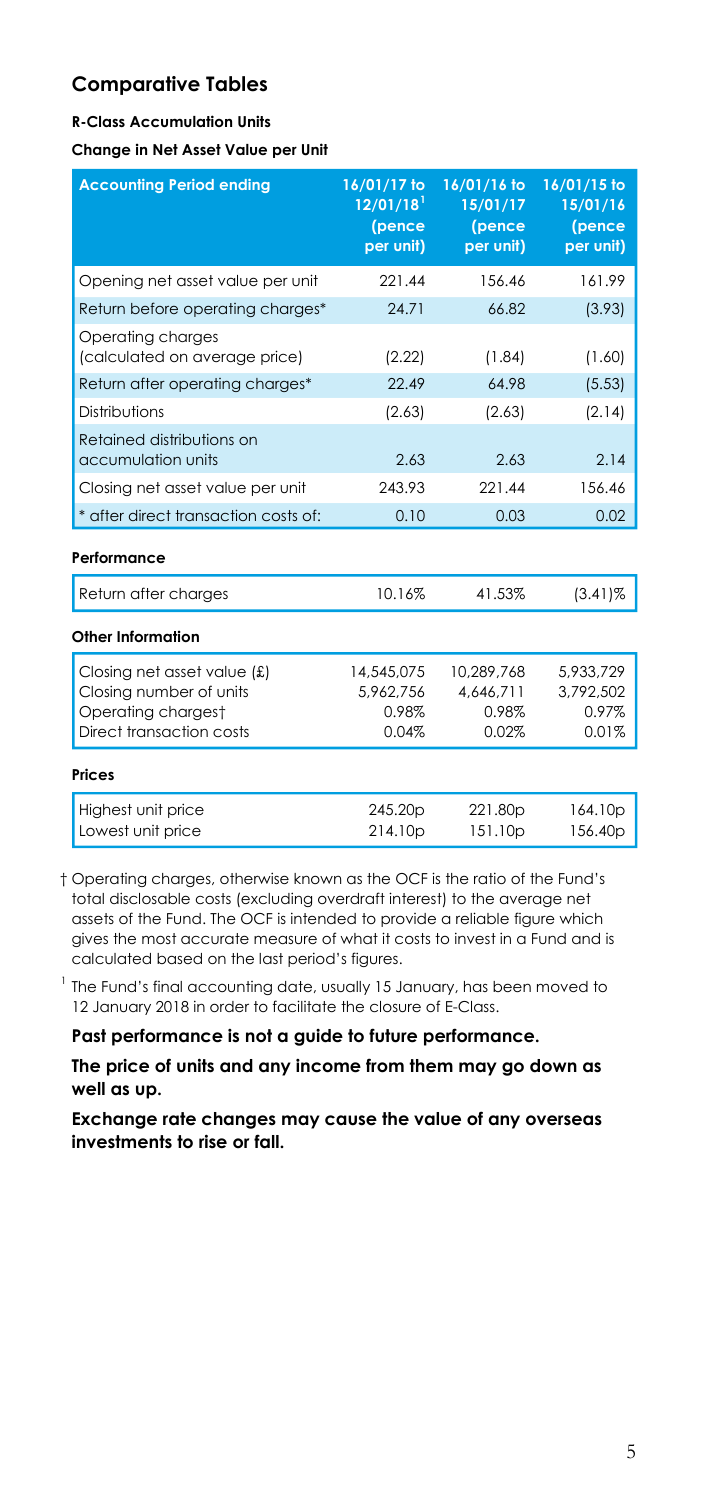#### **R-Class Accumulation Units**

**Change in Net Asset Value per Unit** 

| <b>Accounting Period ending</b>                                                                          | 16/01/17 to<br>12/01/18<br>(pence<br>per unit) | 16/01/16 to<br>15/01/17<br>(pence<br>per unit) | 16/01/15 to<br>15/01/16<br>(pence<br>per unit) |
|----------------------------------------------------------------------------------------------------------|------------------------------------------------|------------------------------------------------|------------------------------------------------|
| Opening net asset value per unit                                                                         | 221 44                                         | 156.46                                         | 161.99                                         |
| Return before operating charges*                                                                         | 24.71                                          | 66.82                                          | (3.93)                                         |
| Operating charges<br>(calculated on average price)                                                       | (2.22)                                         | (1.84)                                         | (1.60)                                         |
| Return after operating charges*                                                                          | 22.49                                          | 64.98                                          | (5.53)                                         |
| Distributions                                                                                            | (2.63)                                         | (2.63)                                         | (2.14)                                         |
| Retained distributions on<br>accumulation units                                                          | 2.63                                           | 2.63                                           | 2.14                                           |
| Closing net asset value per unit                                                                         | 243.93                                         | 221.44                                         | 156.46                                         |
| * after direct transaction costs of:                                                                     | 0.10                                           | 0.03                                           | 0.02                                           |
| Performance                                                                                              |                                                |                                                |                                                |
| Return after charges                                                                                     | 10.16%                                         | 41.53%                                         | $(3.41)\%$                                     |
| Other Information                                                                                        |                                                |                                                |                                                |
| Closing net asset value (£)<br>Closing number of units<br>Operating chargest<br>Direct transaction costs | 14,545,075<br>5,962,756<br>0.98%<br>0.04%      | 10,289,768<br>4.646.711<br>0.98%<br>0.02%      | 5,933,729<br>3.792.502<br>0.97%<br>0.01%       |
| Prices                                                                                                   |                                                |                                                |                                                |
| Highest unit price<br>Lowest unit price                                                                  | 245.20p<br>214.10p                             | 221.80p<br>151.10p                             | 164.10p<br>156.40p                             |

 † Operating charges, otherwise known as the OCF is the ratio of the Fund's total disclosable costs (excluding overdraft interest) to the average net assets of the Fund. The OCF is intended to provide a reliable figure which gives the most accurate measure of what it costs to invest in a Fund and is calculated based on the last period's figures.

 $1$  The Fund's final accounting date, usually 15 January, has been moved to 12 January 2018 in order to facilitate the closure of E-Class.

**Past performance is not a guide to future performance.** 

**The price of units and any income from them may go down as well as up.**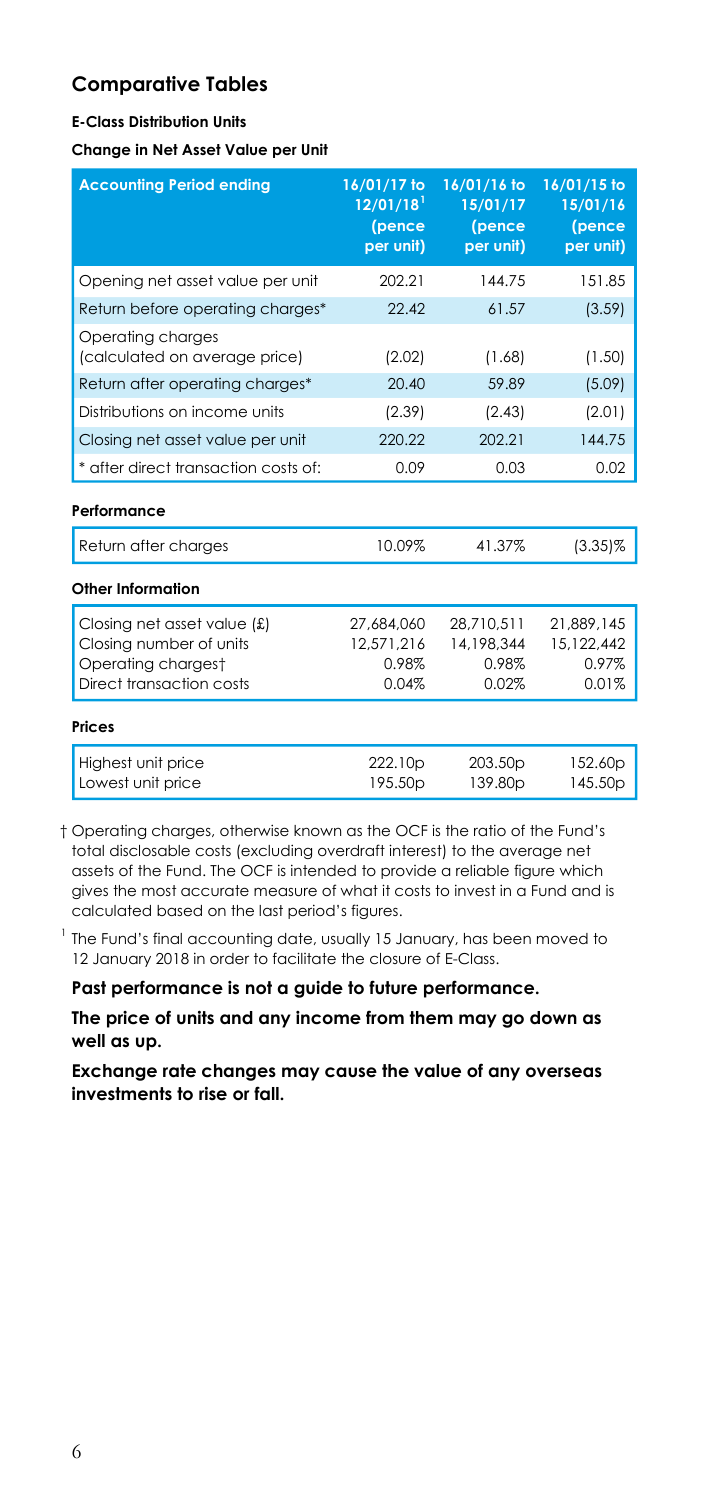#### **E-Class Distribution Units**

**Change in Net Asset Value per Unit** 

| <b>Accounting Period ending</b>                                                                          | 16/01/17 to<br>$12/01/18$ <sup>1</sup><br>(pence<br>per unit) | 16/01/16 to<br>15/01/17<br>(pence<br>per unit) | 16/01/15 to<br>15/01/16<br>(pence<br>per unit) |
|----------------------------------------------------------------------------------------------------------|---------------------------------------------------------------|------------------------------------------------|------------------------------------------------|
| Opening net asset value per unit                                                                         | 202.21                                                        | 144.75                                         | 151.85                                         |
| Return before operating charges*                                                                         | 22.42                                                         | 61.57                                          | (3.59)                                         |
| Operating charges<br>(calculated on average price)                                                       | (2.02)                                                        | (1.68)                                         | (1.50)                                         |
| Return after operating charges*                                                                          | 20.40                                                         | 59.89                                          | (5.09)                                         |
| Distributions on income units                                                                            | (2.39)                                                        | (2.43)                                         | (2.01)                                         |
| Closing net asset value per unit                                                                         | 220.22                                                        | 202.21                                         | 144.75                                         |
| * after direct transaction costs of:                                                                     | 0.09                                                          | 0.03                                           | 0.02                                           |
| Performance                                                                                              |                                                               |                                                |                                                |
| Return after charges                                                                                     | 10.09%                                                        | 41.37%                                         | $(3.35)\%$                                     |
| Other Information                                                                                        |                                                               |                                                |                                                |
| Closing net asset value (£)<br>Closing number of units<br>Operating chargest<br>Direct transaction costs | 27.684.060<br>12,571,216<br>0.98%<br>0.04%                    | 28.710.511<br>14,198,344<br>0.98%<br>0.02%     | 21.889.145<br>15,122,442<br>0.97%<br>0.01%     |
| <b>Prices</b>                                                                                            |                                                               |                                                |                                                |
| Highest unit price<br>Lowest unit price                                                                  | 222.10p<br>195.50p                                            | 203.50 <sub>p</sub><br>139.80p                 | 152.60p<br>145.50p                             |

 † Operating charges, otherwise known as the OCF is the ratio of the Fund's total disclosable costs (excluding overdraft interest) to the average net assets of the Fund. The OCF is intended to provide a reliable figure which gives the most accurate measure of what it costs to invest in a Fund and is calculated based on the last period's figures.

 $1$  The Fund's final accounting date, usually 15 January, has been moved to 12 January 2018 in order to facilitate the closure of E-Class.

**Past performance is not a guide to future performance.** 

**The price of units and any income from them may go down as well as up.**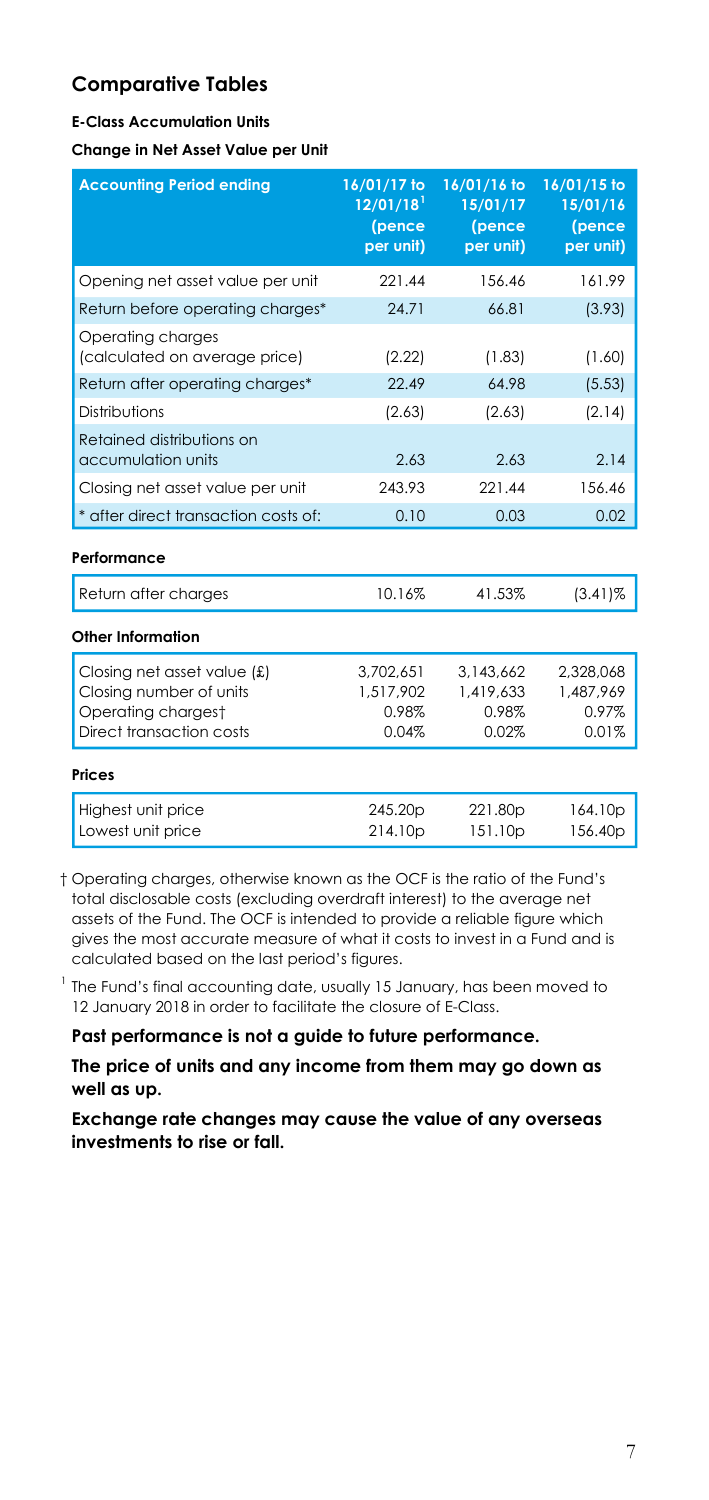#### **E-Class Accumulation Units**

**Change in Net Asset Value per Unit** 

| <b>Accounting Period ending</b>                                                                          | 16/01/17 to<br>12/01/18<br>(pence<br>per unit) | 16/01/16 to<br>15/01/17<br>(pence<br>per unit) | 16/01/15 to<br>15/01/16<br>(pence<br>per unit) |
|----------------------------------------------------------------------------------------------------------|------------------------------------------------|------------------------------------------------|------------------------------------------------|
| Opening net asset value per unit                                                                         | 221 44                                         | 156.46                                         | 161.99                                         |
| Return before operating charges*                                                                         | 24.71                                          | 66.81                                          | (3.93)                                         |
| Operating charges<br>(calculated on average price)                                                       | (2.22)                                         | (1.83)                                         | (1.60)                                         |
| Return after operating charges*                                                                          | 22.49                                          | 64.98                                          | (5.53)                                         |
| Distributions                                                                                            | (2.63)                                         | (2.63)                                         | (2.14)                                         |
| Retained distributions on<br>accumulation units                                                          | 2.63                                           | 2.63                                           | 2.14                                           |
| Closing net asset value per unit                                                                         | 243.93                                         | 221.44                                         | 156.46                                         |
| * after direct transaction costs of:                                                                     | 0.10                                           | 0.03                                           | 0.02                                           |
| Performance                                                                                              |                                                |                                                |                                                |
| Return after charges                                                                                     | 10.16%                                         | 41.53%                                         | $(3.41)\%$                                     |
| Other Information                                                                                        |                                                |                                                |                                                |
| Closing net asset value (£)<br>Closing number of units<br>Operating chargest<br>Direct transaction costs | 3,702,651<br>1,517,902<br>0.98%<br>0.04%       | 3,143,662<br>1,419,633<br>0.98%<br>0.02%       | 2,328,068<br>1,487,969<br>0.97%<br>0.01%       |
| Prices                                                                                                   |                                                |                                                |                                                |
| Highest unit price<br>Lowest unit price                                                                  | 245.20p<br>214.10p                             | 221.80p<br>151.10p                             | 164.10p<br>156.40p                             |

 † Operating charges, otherwise known as the OCF is the ratio of the Fund's total disclosable costs (excluding overdraft interest) to the average net assets of the Fund. The OCF is intended to provide a reliable figure which gives the most accurate measure of what it costs to invest in a Fund and is calculated based on the last period's figures.

 $1$  The Fund's final accounting date, usually 15 January, has been moved to 12 January 2018 in order to facilitate the closure of E-Class.

**Past performance is not a guide to future performance.** 

**The price of units and any income from them may go down as well as up.**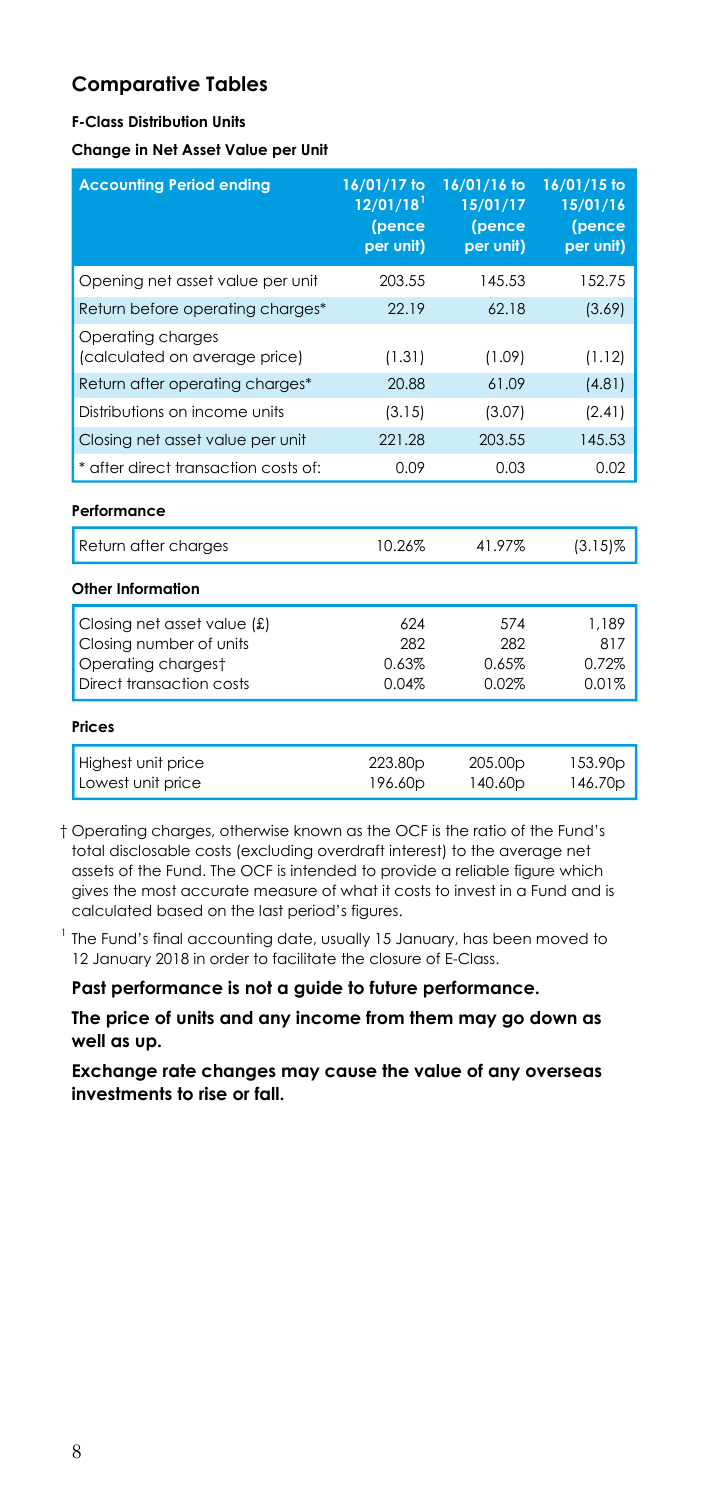#### **F-Class Distribution Units**

**Change in Net Asset Value per Unit** 

| <b>Accounting Period ending</b>                    | 16/01/17 to<br>$12/01/18$ <sup>1</sup><br>(pence<br>per unit) | 16/01/16 to<br>15/01/17<br>(pence<br>per unit) | 16/01/15 to<br>15/01/16<br>(pence<br>per unit) |
|----------------------------------------------------|---------------------------------------------------------------|------------------------------------------------|------------------------------------------------|
| Opening net asset value per unit                   | 203.55                                                        | 145.53                                         | 152.75                                         |
| Return before operating charges*                   | 22.19                                                         | 62.18                                          | (3.69)                                         |
| Operating charges<br>(calculated on average price) | (1.31)                                                        | (1.09)                                         | (1.12)                                         |
| Return after operating charges*                    | 20.88                                                         | 61.09                                          | (4.81)                                         |
| Distributions on income units                      | (3.15)                                                        | (3.07)                                         | (2.41)                                         |
| Closing net asset value per unit                   | 221.28                                                        | 203.55                                         | 145.53                                         |
| * after direct transaction costs of:               | 0.09                                                          | 0.03                                           | 0.02                                           |
| Performance                                        |                                                               |                                                |                                                |
| Return after charges                               | 10.26%                                                        | 41.97%                                         | $(3.15)\%$                                     |
| Other Information                                  |                                                               |                                                |                                                |
| Closing net asset value $(f)$                      | 624                                                           | 574                                            | 1.189                                          |
| Closing number of units                            | 282                                                           | 282                                            | 817                                            |
| Operating chargest                                 | 0.63%                                                         | 0.65%                                          | 0.72%                                          |
| Direct transaction costs                           | 0.04%                                                         | 0.02%                                          | 0.01%                                          |
| Prices                                             |                                                               |                                                |                                                |
| Highest unit price<br>Lowest unit price            | 223.80p<br>196.60p                                            | 205.00 <sub>p</sub><br>140.60p                 | 153.90p<br>146.70p                             |

 † Operating charges, otherwise known as the OCF is the ratio of the Fund's total disclosable costs (excluding overdraft interest) to the average net assets of the Fund. The OCF is intended to provide a reliable figure which gives the most accurate measure of what it costs to invest in a Fund and is calculated based on the last period's figures.

 $1$  The Fund's final accounting date, usually 15 January, has been moved to 12 January 2018 in order to facilitate the closure of E-Class.

**Past performance is not a guide to future performance.** 

**The price of units and any income from them may go down as well as up.**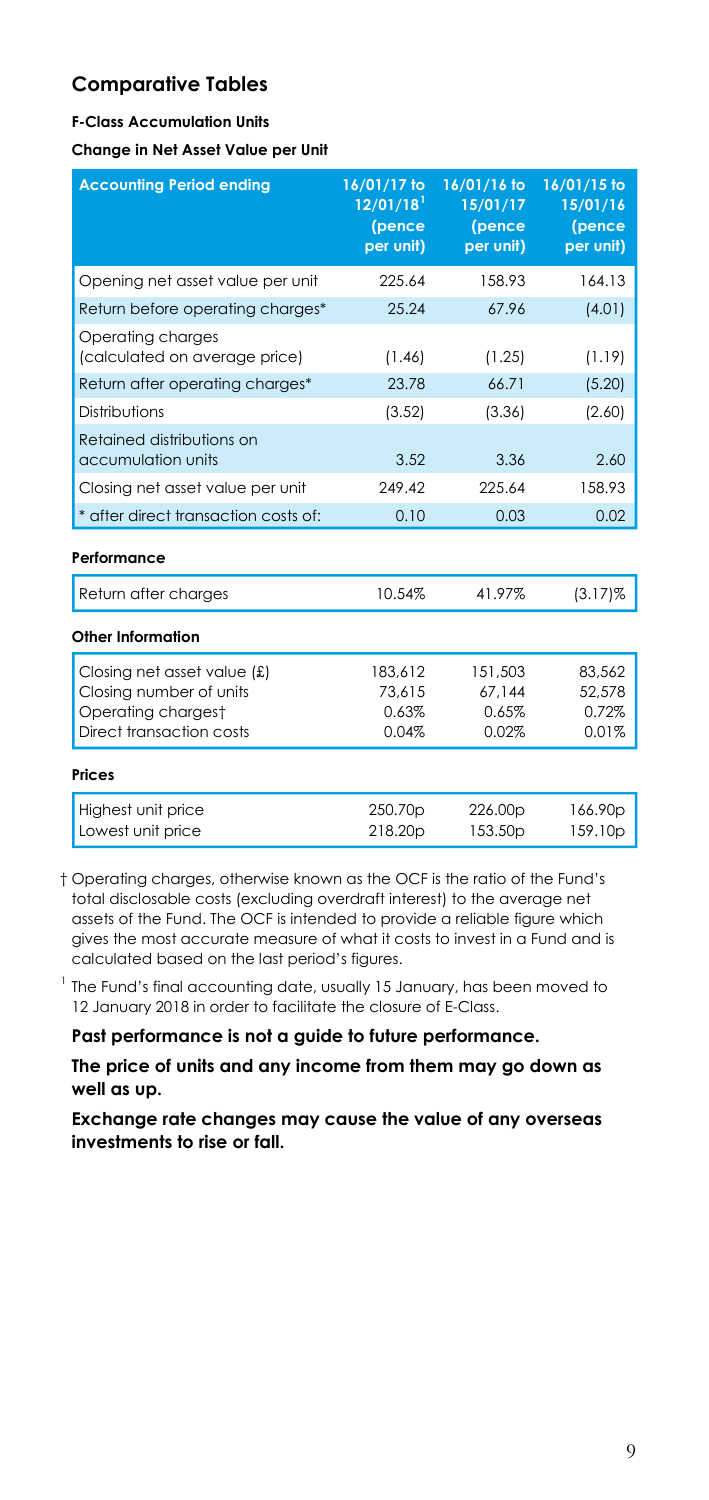#### **F-Class Accumulation Units**

**Change in Net Asset Value per Unit** 

| <b>Accounting Period ending</b>                                                                          | 16/01/17 to<br>12/01/18<br>(pence<br>per unit) | 16/01/16 to<br>15/01/17<br>(pence<br>per unit) | 16/01/15 to<br>15/01/16<br>(pence<br>per unit) |
|----------------------------------------------------------------------------------------------------------|------------------------------------------------|------------------------------------------------|------------------------------------------------|
| Opening net asset value per unit                                                                         | 225.64                                         | 158.93                                         | 164.13                                         |
| Return before operating charges*                                                                         | 25.24                                          | 67.96                                          | (4.01)                                         |
| Operating charges<br>(calculated on average price)                                                       | (1.46)                                         | (1.25)                                         | (1.19)                                         |
| Return after operating charges*                                                                          | 23.78                                          | 66.71                                          | (5.20)                                         |
| Distributions                                                                                            | (3.52)                                         | (3.36)                                         | (2.60)                                         |
| Retained distributions on<br>accumulation units                                                          | 3.52                                           | 3.36                                           | 2.60                                           |
| Closing net asset value per unit                                                                         | 249 42                                         | 225.64                                         | 158.93                                         |
| * after direct transaction costs of:                                                                     | 0.10                                           | 0.03                                           | 0.02                                           |
| Performance                                                                                              |                                                |                                                |                                                |
| Return after charges                                                                                     | 10.54%                                         | 41.97%                                         | $(3.17)\%$                                     |
| Other Information                                                                                        |                                                |                                                |                                                |
| Closing net asset value (£)<br>Closing number of units<br>Operating chargest<br>Direct transaction costs | 183,612<br>73.615<br>0.63%<br>0.04%            | 151,503<br>67.144<br>0.65%<br>0.02%            | 83,562<br>52,578<br>0.72%<br>0.01%             |
| <b>Prices</b>                                                                                            |                                                |                                                |                                                |
| Highest unit price<br>Lowest unit price                                                                  | 250.70p<br>218.20p                             | 226.00p<br>153.50 <sub>p</sub>                 | 166.90p<br>159.10p                             |

 † Operating charges, otherwise known as the OCF is the ratio of the Fund's total disclosable costs (excluding overdraft interest) to the average net assets of the Fund. The OCF is intended to provide a reliable figure which gives the most accurate measure of what it costs to invest in a Fund and is calculated based on the last period's figures.

 $1$  The Fund's final accounting date, usually 15 January, has been moved to 12 January 2018 in order to facilitate the closure of E-Class.

**Past performance is not a guide to future performance.** 

**The price of units and any income from them may go down as well as up.**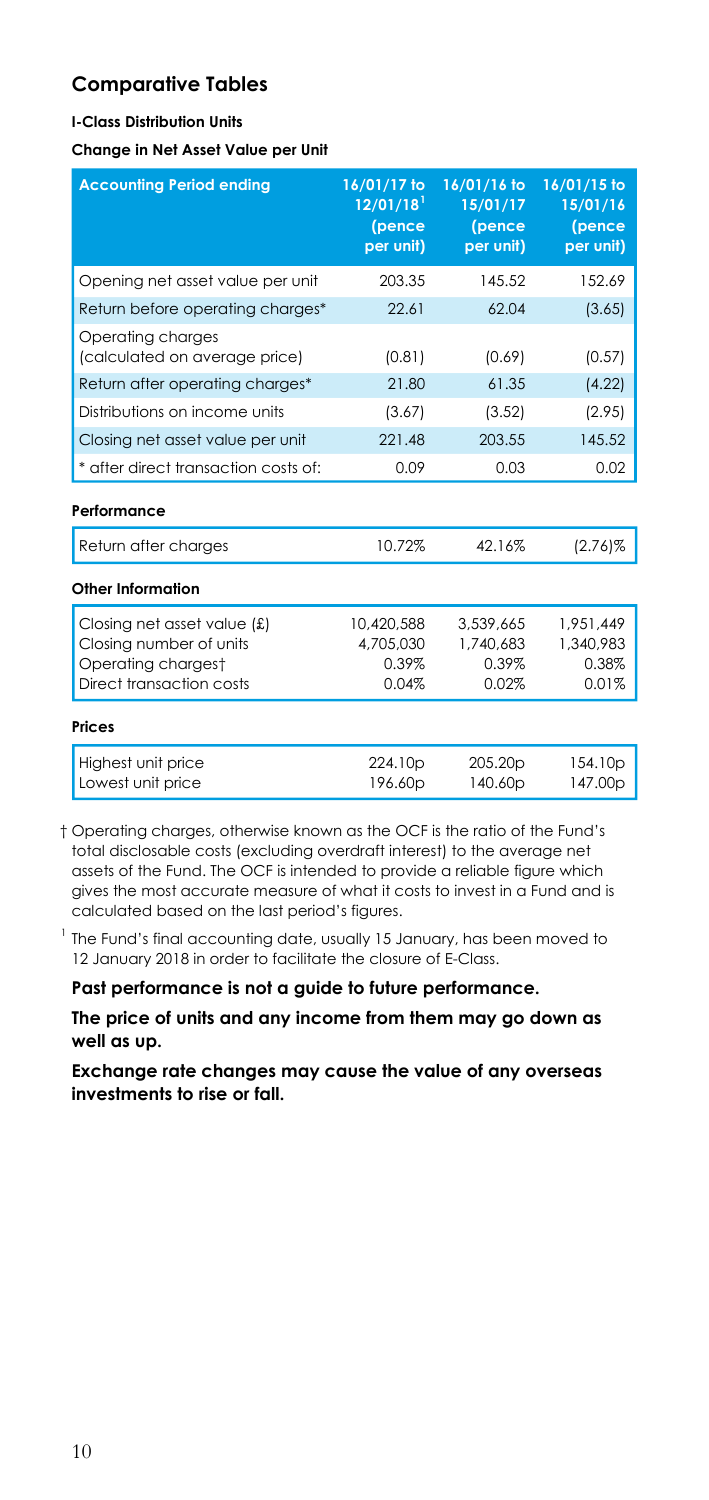#### **I-Class Distribution Units**

**Change in Net Asset Value per Unit** 

| <b>Accounting Period ending</b>                                                                          | 16/01/17 to<br>$12/01/18$ <sup>1</sup><br>(pence<br>per unit) | 16/01/16 to<br>15/01/17<br>(pence<br>per unit) | 16/01/15 to<br>15/01/16<br>(pence<br>per unit) |
|----------------------------------------------------------------------------------------------------------|---------------------------------------------------------------|------------------------------------------------|------------------------------------------------|
| Opening net asset value per unit                                                                         | 203.35                                                        | 145.52                                         | 152.69                                         |
| Return before operating charges*                                                                         | 22.61                                                         | 62.04                                          | (3.65)                                         |
| Operating charges<br>(calculated on average price)                                                       | (0.81)                                                        | (0.69)                                         | (0.57)                                         |
| Return after operating charges*                                                                          | 21.80                                                         | 61.35                                          | (4.22)                                         |
| Distributions on income units                                                                            | (3.67)                                                        | (3.52)                                         | (2.95)                                         |
| Closing net asset value per unit                                                                         | 221.48                                                        | 203.55                                         | 145.52                                         |
| * after direct transaction costs of:                                                                     | 0.09                                                          | 0.03                                           | 0.02                                           |
| Performance                                                                                              |                                                               |                                                |                                                |
| Return after charges                                                                                     | 10.72%                                                        | 42.16%                                         | $(2.76)$ %                                     |
| <b>Other Information</b>                                                                                 |                                                               |                                                |                                                |
| Closing net asset value (£)<br>Closing number of units<br>Operating chargest<br>Direct transaction costs | 10,420,588<br>4.705.030<br>0.39%<br>0.04%                     | 3,539,665<br>1.740.683<br>0.39%<br>0.02%       | 1.951.449<br>1.340.983<br>0.38%<br>0.01%       |
| Prices                                                                                                   |                                                               |                                                |                                                |
| Highest unit price<br>Lowest unit price                                                                  | 224.10 <sub>p</sub><br>196.60p                                | 205.20 <sub>p</sub><br>140.60p                 | 154.10 <sub>p</sub><br>147.00p                 |

 † Operating charges, otherwise known as the OCF is the ratio of the Fund's total disclosable costs (excluding overdraft interest) to the average net assets of the Fund. The OCF is intended to provide a reliable figure which gives the most accurate measure of what it costs to invest in a Fund and is calculated based on the last period's figures.

 $1$  The Fund's final accounting date, usually 15 January, has been moved to 12 January 2018 in order to facilitate the closure of E-Class.

**Past performance is not a guide to future performance.** 

**The price of units and any income from them may go down as well as up.**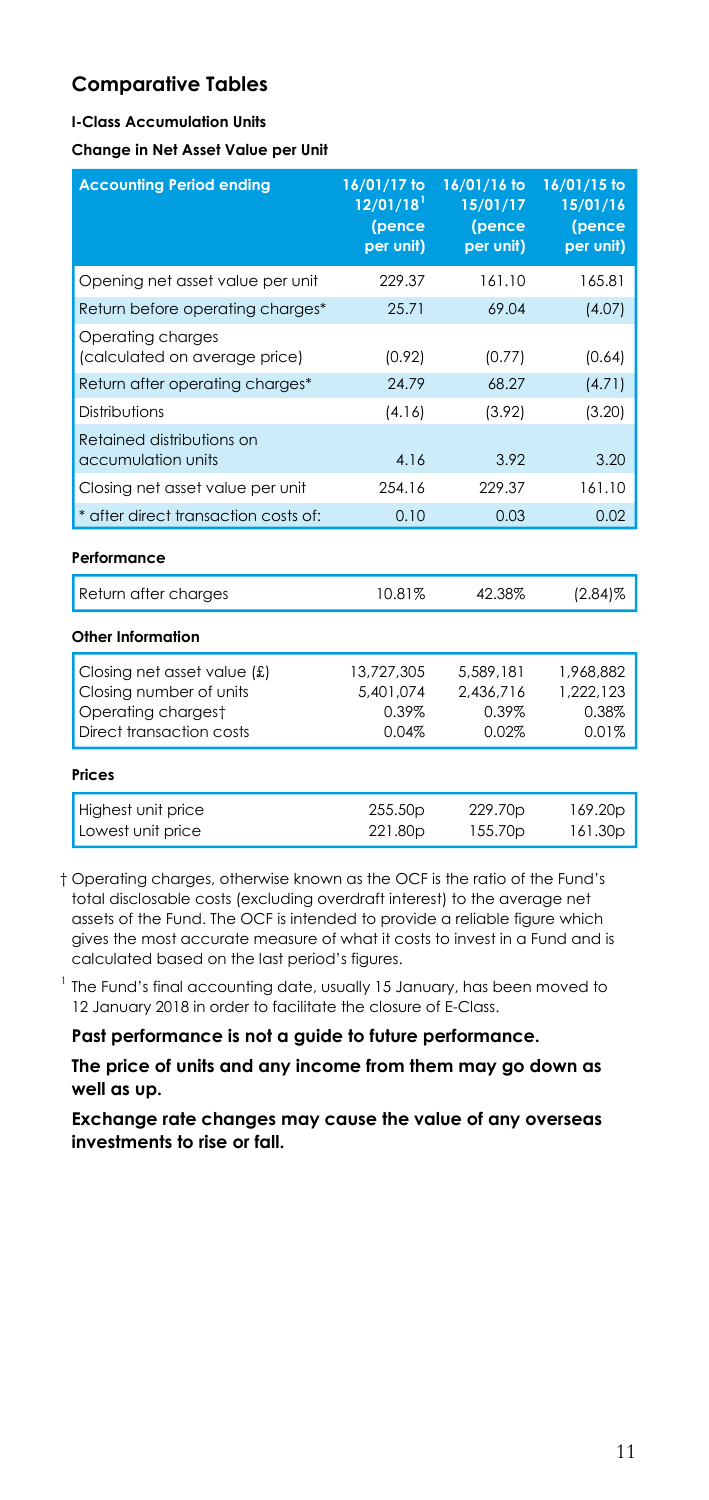#### **I-Class Accumulation Units**

**Change in Net Asset Value per Unit** 

| <b>Accounting Period ending</b>                                                                          | 16/01/17 to<br>$12/01/18$ <sup>1</sup><br>(pence<br>per unit) | 16/01/16 to<br>15/01/17<br>(pence<br>per unit) | 16/01/15 to<br>15/01/16<br>(pence<br>per unit) |
|----------------------------------------------------------------------------------------------------------|---------------------------------------------------------------|------------------------------------------------|------------------------------------------------|
| Opening net asset value per unit                                                                         | 229.37                                                        | 161.10                                         | 165.81                                         |
| Return before operating charges*                                                                         | 25.71                                                         | 69.04                                          | (4.07)                                         |
| Operating charges<br>(calculated on average price)                                                       | (0.92)                                                        | (0.77)                                         | (0.64)                                         |
| Return after operating charges*                                                                          | 24.79                                                         | 68.27                                          | (4.71)                                         |
| Distributions                                                                                            | (4.16)                                                        | (3.92)                                         | (3.20)                                         |
| Retained distributions on<br>accumulation units                                                          | 4.16                                                          | 3.92                                           | 3.20                                           |
| Closing net asset value per unit                                                                         | 254.16                                                        | 229.37                                         | 161.10                                         |
| * after direct transaction costs of:                                                                     | 0.10                                                          | 0.03                                           | 0.02                                           |
| Performance                                                                                              |                                                               |                                                |                                                |
| Return after charges                                                                                     | 10.81%                                                        | 42.38%                                         | $(2.84)\%$                                     |
| Other Information                                                                                        |                                                               |                                                |                                                |
| Closing net asset value (£)<br>Closing number of units<br>Operating chargest<br>Direct transaction costs | 13,727,305<br>5,401,074<br>0.39%<br>0.04%                     | 5.589.181<br>2,436,716<br>0.39%<br>0.02%       | 1.968.882<br>1,222,123<br>0.38%<br>0.01%       |
| Prices                                                                                                   |                                                               |                                                |                                                |
| Highest unit price<br>Lowest unit price                                                                  | 255.50p<br>221.80p                                            | 229.70p<br>155.70p                             | 169.20p<br>161.30p                             |

 † Operating charges, otherwise known as the OCF is the ratio of the Fund's total disclosable costs (excluding overdraft interest) to the average net assets of the Fund. The OCF is intended to provide a reliable figure which gives the most accurate measure of what it costs to invest in a Fund and is calculated based on the last period's figures.

 $1$  The Fund's final accounting date, usually 15 January, has been moved to 12 January 2018 in order to facilitate the closure of E-Class.

**Past performance is not a guide to future performance.** 

**The price of units and any income from them may go down as well as up.**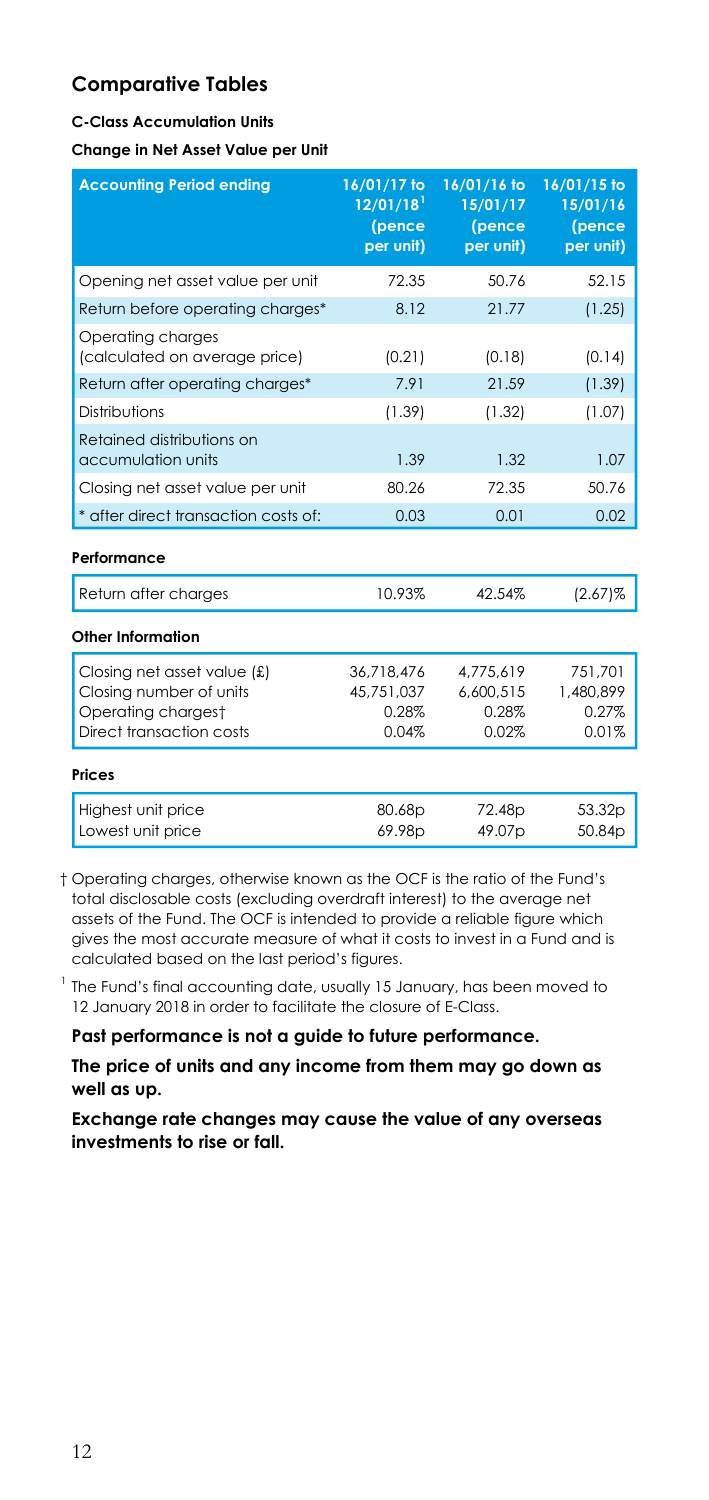#### **C-Class Accumulation Units**

**Change in Net Asset Value per Unit** 

| <b>Accounting Period ending</b>                                                                          | 16/01/17 to<br>$12/01/18$ <sup>1</sup><br>(pence<br>per unit) | 16/01/16 to<br>15/01/17<br>(pence<br>per unit) | 16/01/15 to<br>15/01/16<br>(pence<br>per unit) |
|----------------------------------------------------------------------------------------------------------|---------------------------------------------------------------|------------------------------------------------|------------------------------------------------|
| Opening net asset value per unit                                                                         | 72.35                                                         | 50.76                                          | 52.15                                          |
| Return before operating charges*                                                                         | 8.12                                                          | 21.77                                          | (1.25)                                         |
| Operating charges<br>(calculated on average price)                                                       | (0.21)                                                        | (0.18)                                         | (0.14)                                         |
| Return after operating charges*                                                                          | 7.91                                                          | 21.59                                          | (1.39)                                         |
| Distributions                                                                                            | (1.39)                                                        | (1.32)                                         | (1.07)                                         |
| Retained distributions on<br>accumulation units                                                          | 1.39                                                          | 1.32                                           | 1.07                                           |
| Closing net asset value per unit                                                                         | 80.26                                                         | 72.35                                          | 50.76                                          |
| * after direct transaction costs of:                                                                     | 0.03                                                          | 0.01                                           | 0.02                                           |
| Performance                                                                                              |                                                               |                                                |                                                |
| Return after charges                                                                                     | 10.93%                                                        | 42.54%                                         | $(2.67)\%$                                     |
| Other Information                                                                                        |                                                               |                                                |                                                |
| Closing net asset value (£)<br>Closing number of units<br>Operating chargest<br>Direct transaction costs | 36,718,476<br>45.751.037<br>0.28%<br>0.04%                    | 4.775.619<br>6.600.515<br>0.28%<br>0.02%       | 751.701<br>1,480,899<br>0.27%<br>0.01%         |
| Prices                                                                                                   |                                                               |                                                |                                                |
| Highest unit price<br>Lowest unit price                                                                  | 80.68p<br>69.98p                                              | 72.48p<br>49.07p                               | 53.32p<br>50.84p                               |

 † Operating charges, otherwise known as the OCF is the ratio of the Fund's total disclosable costs (excluding overdraft interest) to the average net assets of the Fund. The OCF is intended to provide a reliable figure which gives the most accurate measure of what it costs to invest in a Fund and is calculated based on the last period's figures.

 $1$  The Fund's final accounting date, usually 15 January, has been moved to 12 January 2018 in order to facilitate the closure of E-Class.

**Past performance is not a guide to future performance.** 

**The price of units and any income from them may go down as well as up.**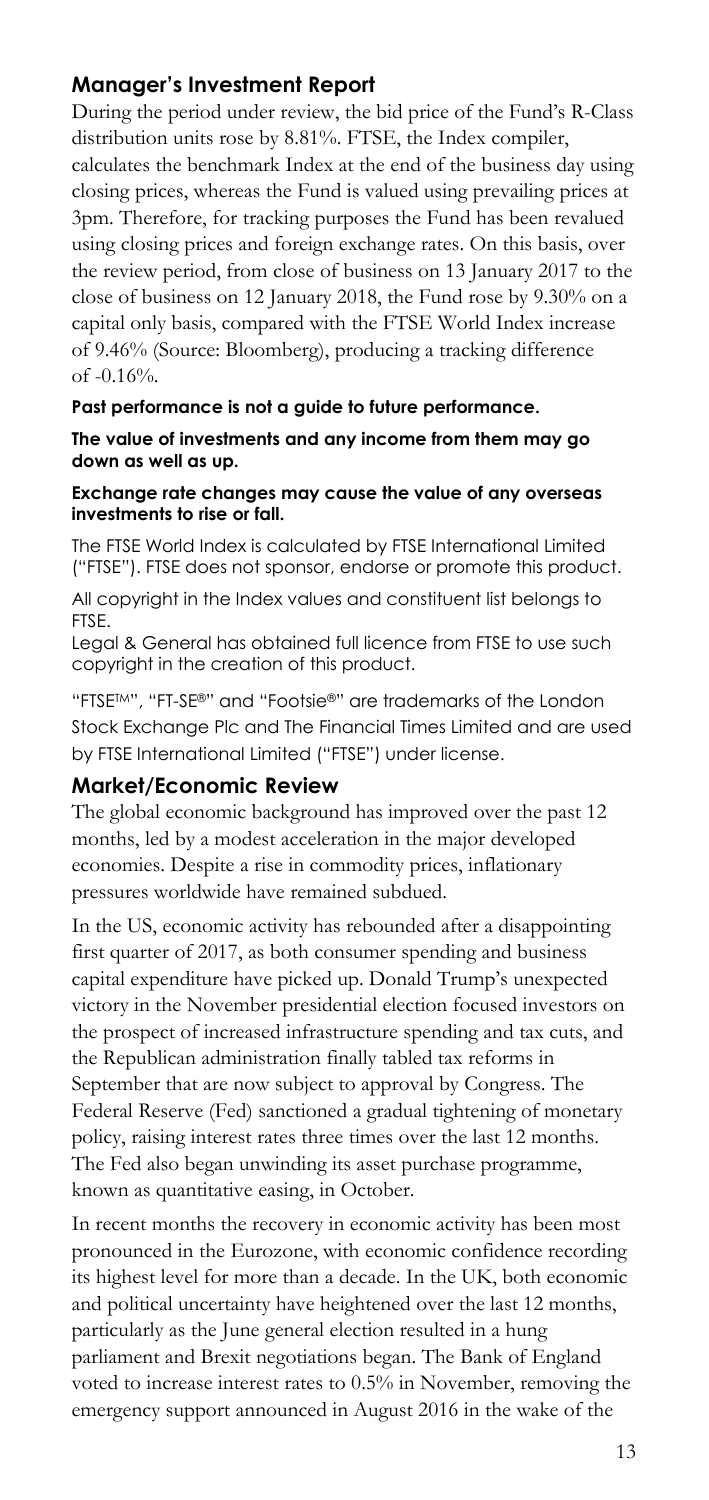### **Manager's Investment Report**

During the period under review, the bid price of the Fund's R-Class distribution units rose by 8.81%. FTSE, the Index compiler, calculates the benchmark Index at the end of the business day using closing prices, whereas the Fund is valued using prevailing prices at 3pm. Therefore, for tracking purposes the Fund has been revalued using closing prices and foreign exchange rates. On this basis, over the review period, from close of business on 13 January 2017 to the close of business on 12 January 2018, the Fund rose by 9.30% on a capital only basis, compared with the FTSE World Index increase of 9.46% (Source: Bloomberg), producing a tracking difference of -0.16%.

#### **Past performance is not a guide to future performance.**

**The value of investments and any income from them may go down as well as up.**

#### **Exchange rate changes may cause the value of any overseas investments to rise or fall.**

The FTSE World Index is calculated by FTSE International Limited ("FTSE"). FTSE does not sponsor, endorse or promote this product.

All copyright in the Index values and constituent list belongs to FTSE.

Legal & General has obtained full licence from FTSE to use such copyright in the creation of this product.

"FTSETM", "FT-SE®" and "Footsie®" are trademarks of the London Stock Exchange Plc and The Financial Times Limited and are used by FTSE International Limited ("FTSE") under license.

#### **Market/Economic Review**

The global economic background has improved over the past 12 months, led by a modest acceleration in the major developed economies. Despite a rise in commodity prices, inflationary pressures worldwide have remained subdued.

In the US, economic activity has rebounded after a disappointing first quarter of 2017, as both consumer spending and business capital expenditure have picked up. Donald Trump's unexpected victory in the November presidential election focused investors on the prospect of increased infrastructure spending and tax cuts, and the Republican administration finally tabled tax reforms in September that are now subject to approval by Congress. The Federal Reserve (Fed) sanctioned a gradual tightening of monetary policy, raising interest rates three times over the last 12 months. The Fed also began unwinding its asset purchase programme, known as quantitative easing, in October.

In recent months the recovery in economic activity has been most pronounced in the Eurozone, with economic confidence recording its highest level for more than a decade. In the UK, both economic and political uncertainty have heightened over the last 12 months, particularly as the June general election resulted in a hung parliament and Brexit negotiations began. The Bank of England voted to increase interest rates to 0.5% in November, removing the emergency support announced in August 2016 in the wake of the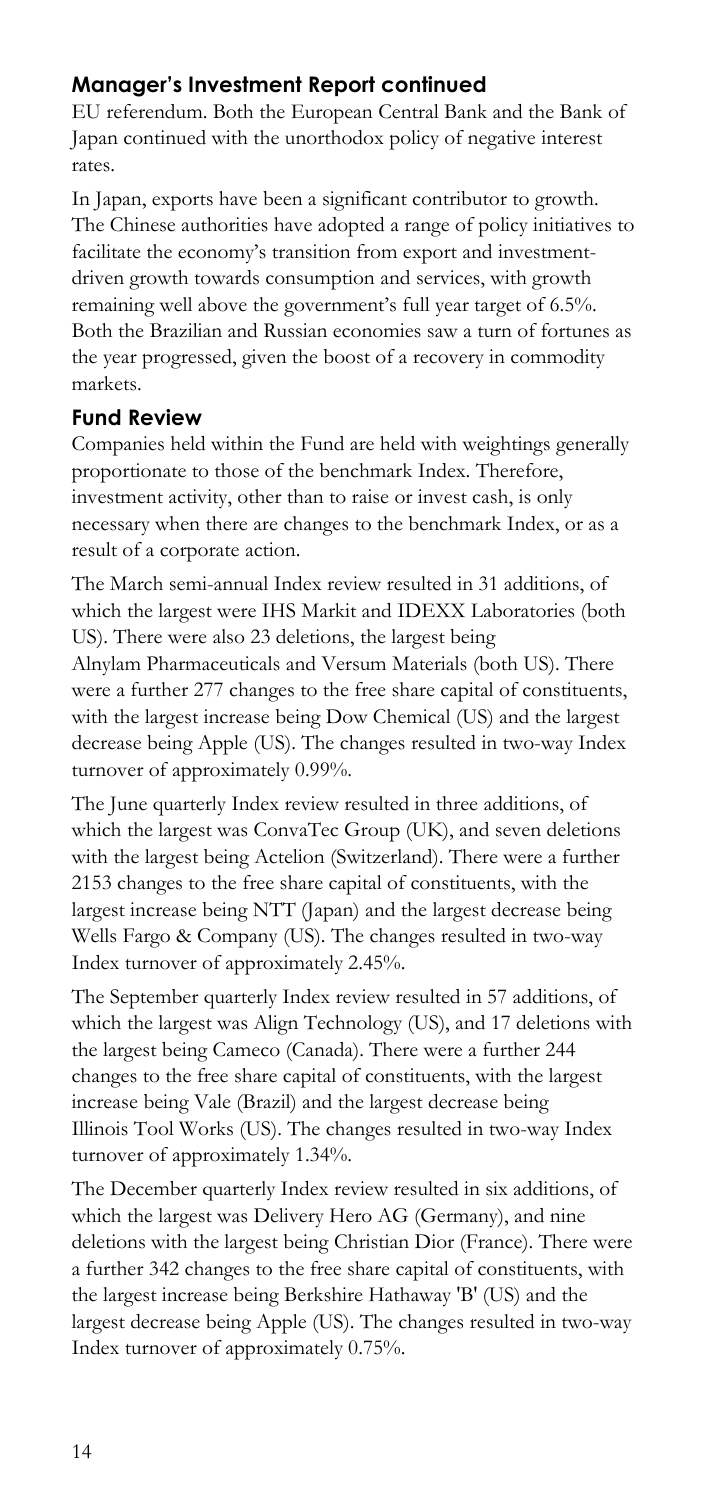# **Manager's Investment Report continued**

EU referendum. Both the European Central Bank and the Bank of Japan continued with the unorthodox policy of negative interest rates.

In Japan, exports have been a significant contributor to growth. The Chinese authorities have adopted a range of policy initiatives to facilitate the economy's transition from export and investmentdriven growth towards consumption and services, with growth remaining well above the government's full year target of 6.5%. Both the Brazilian and Russian economies saw a turn of fortunes as the year progressed, given the boost of a recovery in commodity markets.

#### **Fund Review**

Companies held within the Fund are held with weightings generally proportionate to those of the benchmark Index. Therefore, investment activity, other than to raise or invest cash, is only necessary when there are changes to the benchmark Index, or as a result of a corporate action.

The March semi-annual Index review resulted in 31 additions, of which the largest were IHS Markit and IDEXX Laboratories (both US). There were also 23 deletions, the largest being Alnylam Pharmaceuticals and Versum Materials (both US). There were a further 277 changes to the free share capital of constituents, with the largest increase being Dow Chemical (US) and the largest decrease being Apple (US). The changes resulted in two-way Index turnover of approximately 0.99%.

The June quarterly Index review resulted in three additions, of which the largest was ConvaTec Group (UK), and seven deletions with the largest being Actelion (Switzerland). There were a further 2153 changes to the free share capital of constituents, with the largest increase being NTT (Japan) and the largest decrease being Wells Fargo & Company (US). The changes resulted in two-way Index turnover of approximately 2.45%.

The September quarterly Index review resulted in 57 additions, of which the largest was Align Technology (US), and 17 deletions with the largest being Cameco (Canada). There were a further 244 changes to the free share capital of constituents, with the largest increase being Vale (Brazil) and the largest decrease being Illinois Tool Works (US). The changes resulted in two-way Index turnover of approximately 1.34%.

The December quarterly Index review resulted in six additions, of which the largest was Delivery Hero AG (Germany), and nine deletions with the largest being Christian Dior (France). There were a further 342 changes to the free share capital of constituents, with the largest increase being Berkshire Hathaway 'B' (US) and the largest decrease being Apple (US). The changes resulted in two-way Index turnover of approximately 0.75%.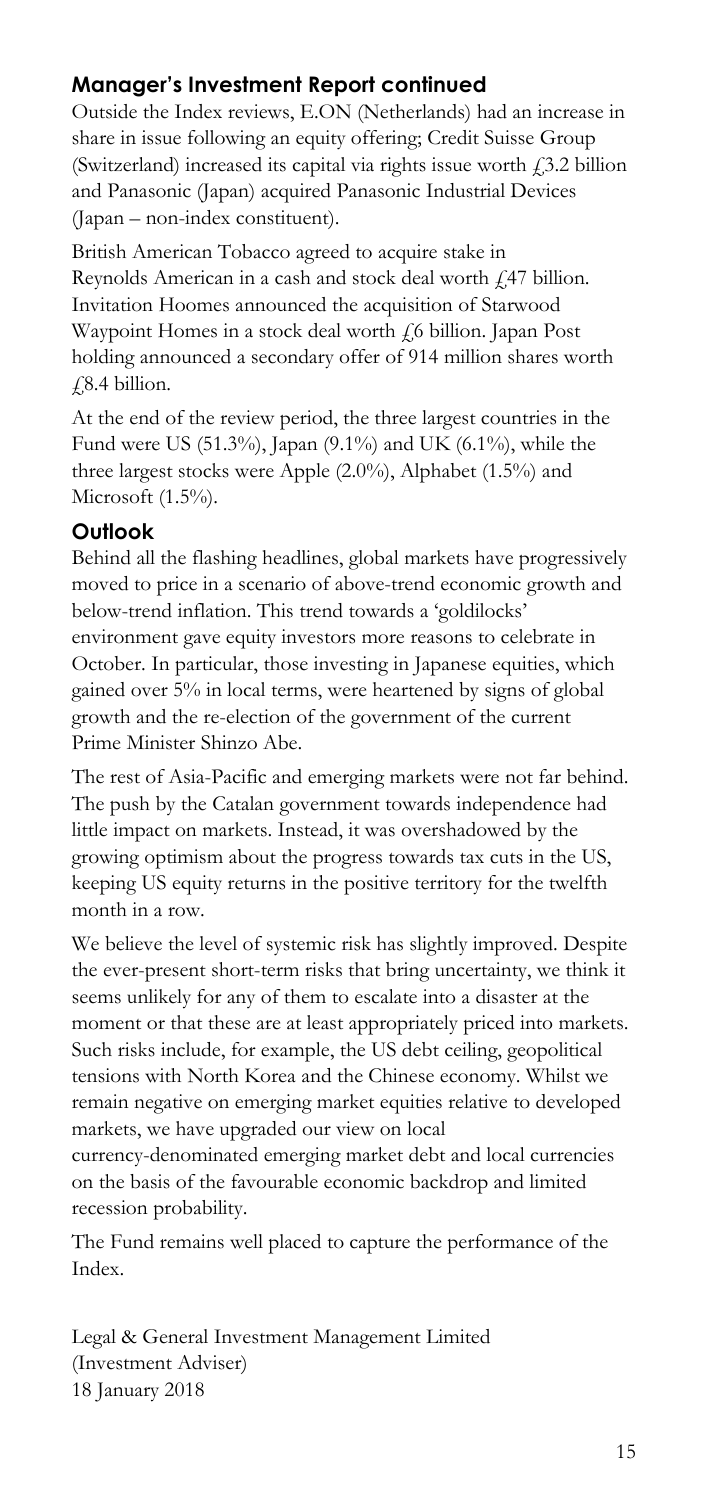# **Manager's Investment Report continued**

Outside the Index reviews, E.ON (Netherlands) had an increase in share in issue following an equity offering; Credit Suisse Group (Switzerland) increased its capital via rights issue worth  $f$ , 3.2 billion and Panasonic (Japan) acquired Panasonic Industrial Devices (Japan – non-index constituent).

British American Tobacco agreed to acquire stake in Reynolds American in a cash and stock deal worth £47 billion. Invitation Hoomes announced the acquisition of Starwood Waypoint Homes in a stock deal worth  $\sqrt{6}$  billion. Japan Post holding announced a secondary offer of 914 million shares worth  $\sqrt{2.4}$  billion.

At the end of the review period, the three largest countries in the Fund were US (51.3%), Japan (9.1%) and UK (6.1%), while the three largest stocks were Apple (2.0%), Alphabet (1.5%) and Microsoft (1.5%).

### **Outlook**

Behind all the flashing headlines, global markets have progressively moved to price in a scenario of above-trend economic growth and below-trend inflation. This trend towards a 'goldilocks' environment gave equity investors more reasons to celebrate in October. In particular, those investing in Japanese equities, which gained over 5% in local terms, were heartened by signs of global growth and the re-election of the government of the current Prime Minister Shinzo Abe.

The rest of Asia-Pacific and emerging markets were not far behind. The push by the Catalan government towards independence had little impact on markets. Instead, it was overshadowed by the growing optimism about the progress towards tax cuts in the US, keeping US equity returns in the positive territory for the twelfth month in a row.

We believe the level of systemic risk has slightly improved. Despite the ever-present short-term risks that bring uncertainty, we think it seems unlikely for any of them to escalate into a disaster at the moment or that these are at least appropriately priced into markets. Such risks include, for example, the US debt ceiling, geopolitical tensions with North Korea and the Chinese economy. Whilst we remain negative on emerging market equities relative to developed markets, we have upgraded our view on local currency-denominated emerging market debt and local currencies on the basis of the favourable economic backdrop and limited recession probability.

The Fund remains well placed to capture the performance of the Index.

Legal & General Investment Management Limited (Investment Adviser) 18 January 2018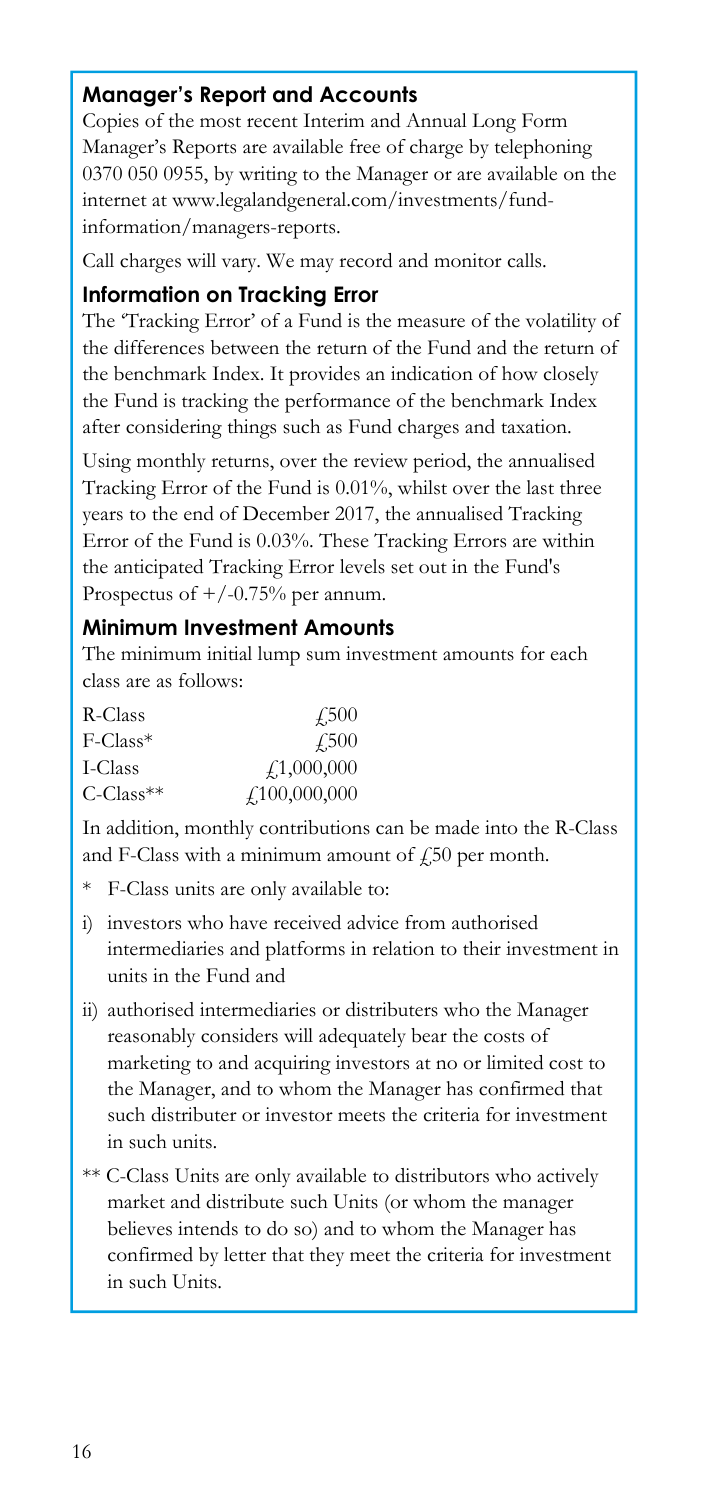# **Manager's Report and Accounts**

Copies of the most recent Interim and Annual Long Form Manager's Reports are available free of charge by telephoning 0370 050 0955, by writing to the Manager or are available on the internet at www.legalandgeneral.com/investments/fundinformation/managers-reports.

Call charges will vary. We may record and monitor calls.

#### **Information on Tracking Error**

The 'Tracking Error' of a Fund is the measure of the volatility of the differences between the return of the Fund and the return of the benchmark Index. It provides an indication of how closely the Fund is tracking the performance of the benchmark Index after considering things such as Fund charges and taxation.

Using monthly returns, over the review period, the annualised Tracking Error of the Fund is 0.01%, whilst over the last three years to the end of December 2017, the annualised Tracking Error of the Fund is 0.03%. These Tracking Errors are within the anticipated Tracking Error levels set out in the Fund's Prospectus of  $+/-0.75%$  per annum.

#### **Minimum Investment Amounts**

The minimum initial lump sum investment amounts for each class are as follows:

| R-Class                  | 4.500        |
|--------------------------|--------------|
| F-Class*                 | 4.500        |
| I-Class                  | f1,000,000   |
| $C$ -Class <sup>**</sup> | f100,000,000 |

In addition, monthly contributions can be made into the R-Class and F-Class with a minimum amount of  $\sqrt{250}$  per month.

- \* F-Class units are only available to:
- i) investors who have received advice from authorised intermediaries and platforms in relation to their investment in units in the Fund and
- ii) authorised intermediaries or distributers who the Manager reasonably considers will adequately bear the costs of marketing to and acquiring investors at no or limited cost to the Manager, and to whom the Manager has confirmed that such distributer or investor meets the criteria for investment in such units.
- \*\* C-Class Units are only available to distributors who actively market and distribute such Units (or whom the manager believes intends to do so) and to whom the Manager has confirmed by letter that they meet the criteria for investment in such Units.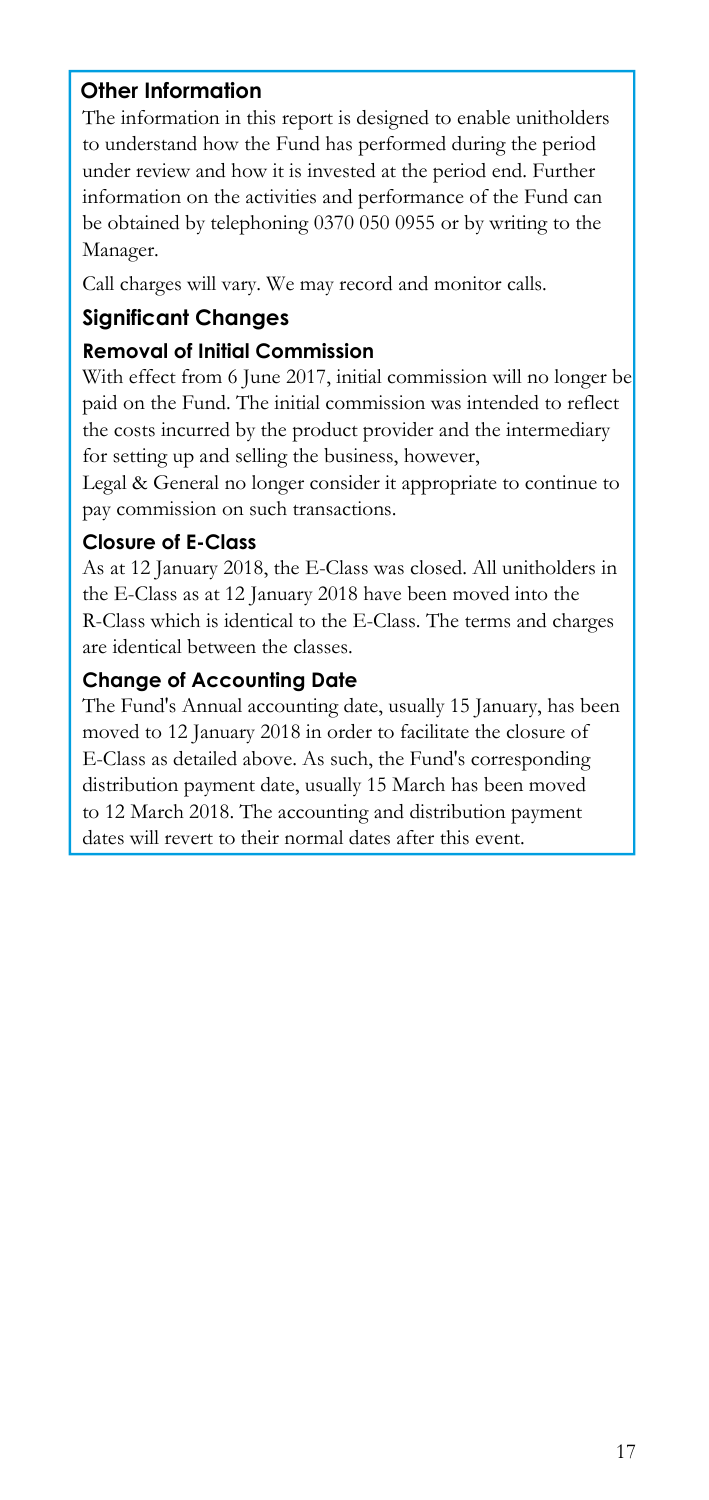### **Other Information**

The information in this report is designed to enable unitholders to understand how the Fund has performed during the period under review and how it is invested at the period end. Further information on the activities and performance of the Fund can be obtained by telephoning 0370 050 0955 or by writing to the Manager.

Call charges will vary. We may record and monitor calls.

## **Significant Changes**

#### **Removal of Initial Commission**

With effect from 6 June 2017, initial commission will no longer be paid on the Fund. The initial commission was intended to reflect the costs incurred by the product provider and the intermediary for setting up and selling the business, however,

Legal & General no longer consider it appropriate to continue to pay commission on such transactions.

#### **Closure of E-Class**

As at 12 January 2018, the E-Class was closed. All unitholders in the E-Class as at 12 January 2018 have been moved into the R-Class which is identical to the E-Class. The terms and charges are identical between the classes.

#### **Change of Accounting Date**

The Fund's Annual accounting date, usually 15 January, has been moved to 12 January 2018 in order to facilitate the closure of E-Class as detailed above. As such, the Fund's corresponding distribution payment date, usually 15 March has been moved to 12 March 2018. The accounting and distribution payment dates will revert to their normal dates after this event.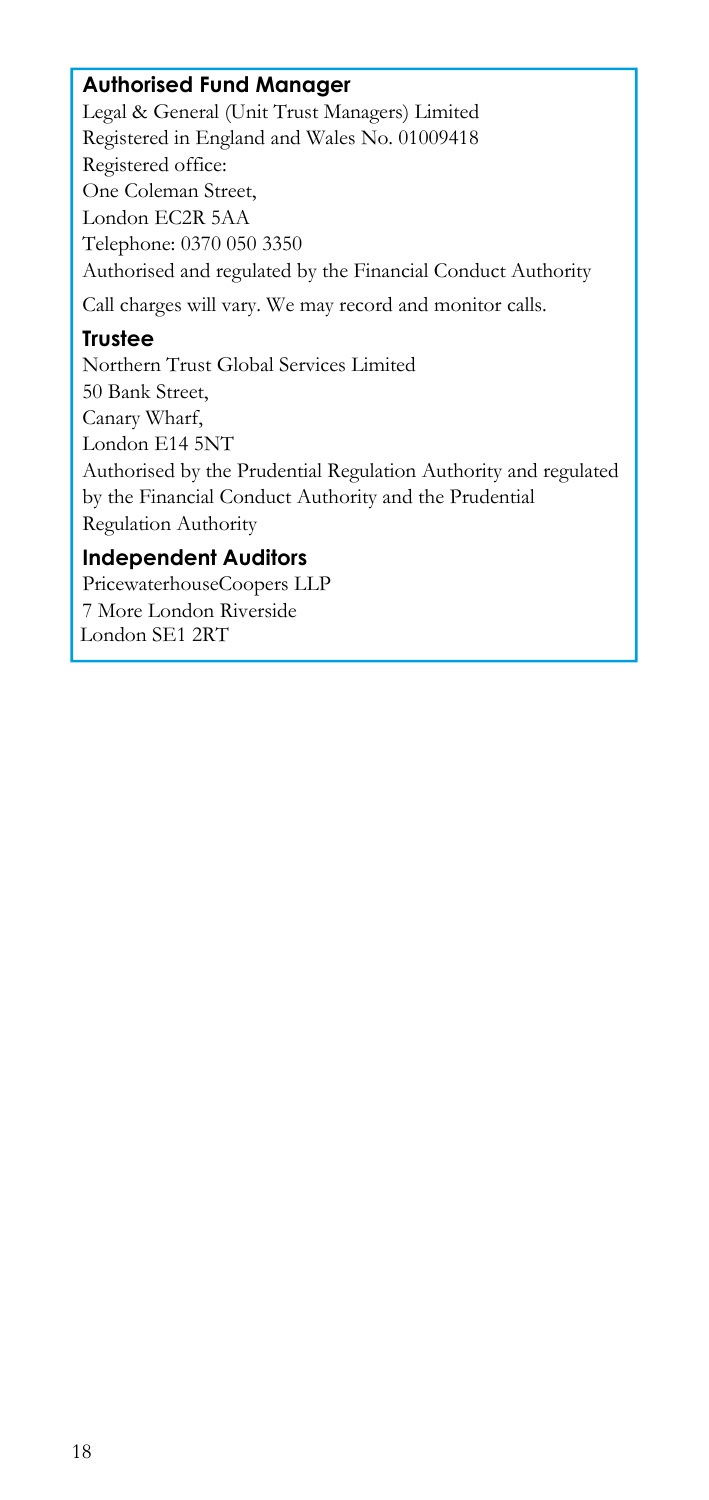## **Authorised Fund Manager**

Legal & General (Unit Trust Managers) Limited Registered in England and Wales No. 01009418 Registered office: One Coleman Street, London EC2R 5AA Telephone: 0370 050 3350 Authorised and regulated by the Financial Conduct Authority Call charges will vary. We may record and monitor calls.

#### **Trustee**

Northern Trust Global Services Limited 50 Bank Street, Canary Wharf, London E14 5NT Authorised by the Prudential Regulation Authority and regulated by the Financial Conduct Authority and the Prudential Regulation Authority

# **Independent Auditors**

PricewaterhouseCoopers LLP 7 More London Riverside London SE1 2RT